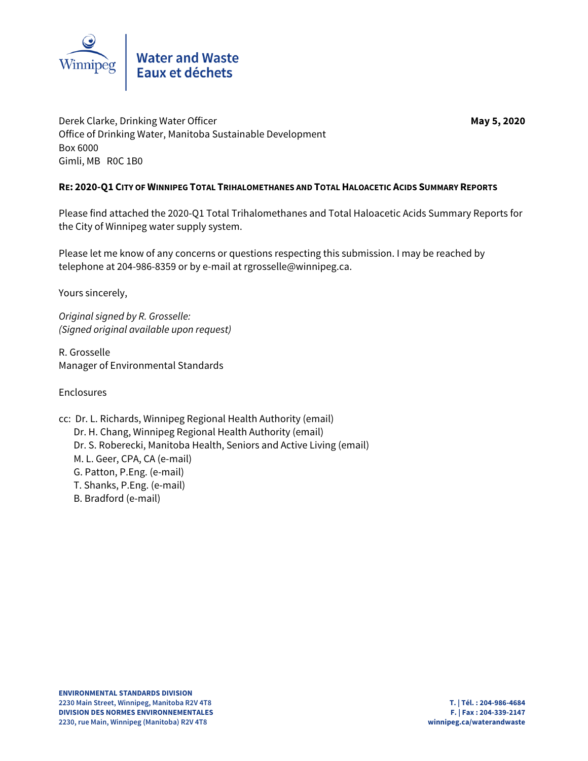

Derek Clarke, Drinking Water Officer **May 5, 2020** May 5, 2020 Office of Drinking Water, Manitoba Sustainable Development Box 6000 Gimli, MB R0C 1B0

### **RE: 2020-Q1 CITY OF WINNIPEG TOTAL TRIHALOMETHANES AND TOTAL HALOACETIC ACIDS SUMMARY REPORTS**

Please find attached the 2020-Q1 Total Trihalomethanes and Total Haloacetic Acids Summary Reports for the City of Winnipeg water supply system.

Please let me know of any concerns or questions respecting this submission. I may be reached by telephone at 204-986-8359 or by e-mail at rgrosselle@winnipeg.ca.

Yours sincerely,

Original signed by R. Grosselle: (Signed original available upon request)

R. Grosselle Manager of Environmental Standards

Enclosures

- cc: Dr. L. Richards, Winnipeg Regional Health Authority (email)
	- Dr. H. Chang, Winnipeg Regional Health Authority (email) Dr. S. Roberecki, Manitoba Health, Seniors and Active Living (email)
	- M. L. Geer, CPA, CA (e-mail)
	- G. Patton, P.Eng. (e-mail)
	- T. Shanks, P.Eng. (e-mail)
	- B. Bradford (e-mail)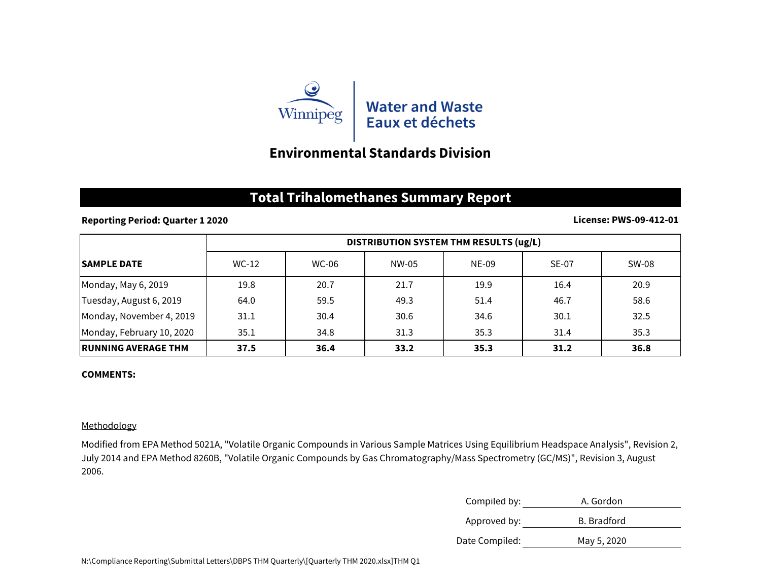

# **Environmental Standards Division**

## **Total Trihalomethanes Summary Report**

### **Reporting Period: Quarter 1 2020**

#### **License: PWS-09-412-01**

|                            | DISTRIBUTION SYSTEM THM RESULTS (ug/L) |       |       |       |              |       |
|----------------------------|----------------------------------------|-------|-------|-------|--------------|-------|
| <b>ISAMPLE DATE</b>        | WC-12                                  | WC-06 | NW-05 | NE-09 | <b>SE-07</b> | SW-08 |
| Monday, May 6, 2019        | 19.8                                   | 20.7  | 21.7  | 19.9  | 16.4         | 20.9  |
| Tuesday, August 6, 2019    | 64.0                                   | 59.5  | 49.3  | 51.4  | 46.7         | 58.6  |
| Monday, November 4, 2019   | 31.1                                   | 30.4  | 30.6  | 34.6  | 30.1         | 32.5  |
| Monday, February 10, 2020  | 35.1                                   | 34.8  | 31.3  | 35.3  | 31.4         | 35.3  |
| <b>RUNNING AVERAGE THM</b> | 37.5                                   | 36.4  | 33.2  | 35.3  | 31.2         | 36.8  |

#### **COMMENTS:**

### Methodology

Modified from EPA Method 5021A, "Volatile Organic Compounds in Various Sample Matrices Using Equilibrium Headspace Analysis", Revision 2, July 2014 and EPA Method 8260B, "Volatile Organic Compounds by Gas Chromatography/Mass Spectrometry (GC/MS)", Revision 3, August 2006.

| Compiled by:   | A. Gordon   |
|----------------|-------------|
| Approved by:   | B. Bradford |
| Date Compiled: | May 5, 2020 |